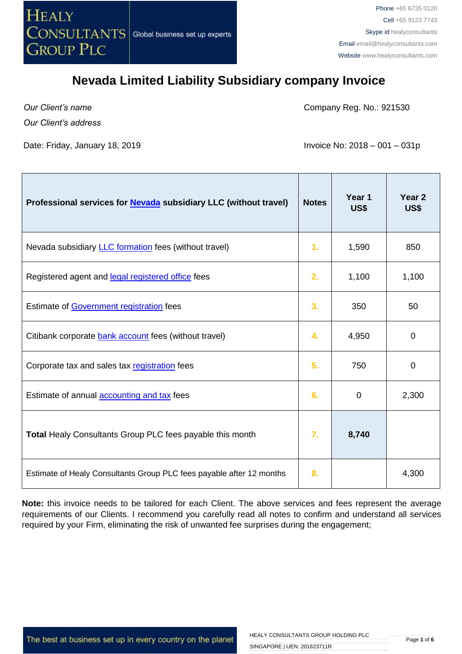

*Our Client's name Our Client's address* Company Reg. No.: 921530

Date: Friday, January 18, 2019 **Invoice No: 2018 – 001 – 031p** 

| Professional services for <b>Nevada</b> subsidiary LLC (without travel) | <b>Notes</b> | Year 1<br>US\$ | Year 2<br>US\$ |
|-------------------------------------------------------------------------|--------------|----------------|----------------|
| Nevada subsidiary <b>LLC</b> formation fees (without travel)            | 1.           | 1,590          | 850            |
| Registered agent and legal registered office fees                       | 2.           | 1,100          | 1,100          |
| Estimate of Government registration fees                                | 3.           | 350            | 50             |
| Citibank corporate bank account fees (without travel)                   | 4.           | 4,950          | $\Omega$       |
| Corporate tax and sales tax registration fees                           | 5.           | 750            | $\Omega$       |
| Estimate of annual accounting and tax fees                              | 6.           | 0              | 2,300          |
| Total Healy Consultants Group PLC fees payable this month               | 7.           | 8,740          |                |
| Estimate of Healy Consultants Group PLC fees payable after 12 months    | 8.           |                | 4,300          |

**Note:** this invoice needs to be tailored for each Client. The above services and fees represent the average requirements of our Clients. I recommend you carefully read all notes to confirm and understand all services required by your Firm, eliminating the risk of unwanted fee surprises during the engagement;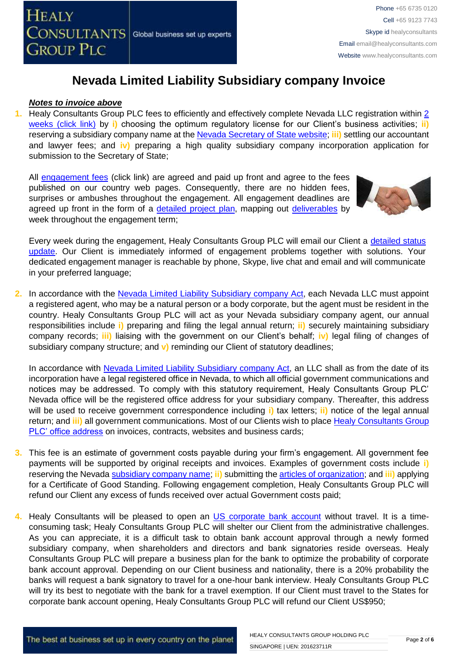#### *Notes to invoice above*

**1.** Healy Consultants Group PLC fees to efficiently and effectively complete Nevada LLC registration within [2](http://www.healyconsultants.com/nevada-company-registration/fees-timelines/#timelines)  [weeks \(click link\)](http://www.healyconsultants.com/nevada-company-registration/fees-timelines/#timelines) by **i)** choosing the optimum regulatory license for our Client's business activities; **ii)** reserving a subsidiary company name at the [Nevada Secretary of State website;](https://nvsos.gov/index.aspx?page=428) **iii)** settling our accountant and lawyer fees; and **iv)** preparing a high quality subsidiary company incorporation application for submission to the Secretary of State;

All [engagement fees](http://www.healyconsultants.com/company-registration-fees/) (click link) are agreed and paid up front and agree to the fees published on our country web pages. Consequently, there are no hidden fees, surprises or ambushes throughout the engagement. All engagement deadlines are agreed up front in the form of a [detailed project plan,](http://www.healyconsultants.com/index-important-links/example-project-plan/) mapping out [deliverables](http://www.healyconsultants.com/deliverables-to-our-clients/) by week throughout the engagement term;



Every week during the engagement, Healy Consultants Group PLC will email our Client a detailed status [update.](http://www.healyconsultants.com/index-important-links/weekly-engagement-status-email/) Our Client is immediately informed of engagement problems together with solutions. Your dedicated engagement manager is reachable by phone, Skype, live chat and email and will communicate in your preferred language;

**2.** In accordance with the [Nevada Limited Liability Subsidiary company](http://www.leg.state.nv.us/NRS/NRS-086.html) Act, each Nevada LLC must appoint a registered agent, who may be a natural person or a body corporate, but the agent must be resident in the country. Healy Consultants Group PLC will act as your Nevada subsidiary company agent, our annual responsibilities include **i)** preparing and filing the legal annual return; **ii)** securely maintaining subsidiary company records; **iii)** liaising with the government on our Client's behalf; **iv)** legal filing of changes of subsidiary company structure; and **v)** reminding our Client of statutory deadlines;

In accordance with [Nevada Limited Liability Subsidiary company](http://www.leg.state.nv.us/NRS/NRS-086.html) Act, an LLC shall as from the date of its incorporation have a legal registered office in Nevada, to which all official government communications and notices may be addressed. To comply with this statutory requirement, Healy Consultants Group PLC' Nevada office will be the registered office address for your subsidiary company. Thereafter, this address will be used to receive government correspondence including **i)** tax letters; **ii)** notice of the legal annual return; and **iii)** all government communications. Most of our Clients wish to place [Healy Consultants Group](http://www.healyconsultants.com/corporate-outsourcing-services/company-secretary-and-legal-registered-office/)  [PLC' office address](http://www.healyconsultants.com/corporate-outsourcing-services/company-secretary-and-legal-registered-office/) on invoices, contracts, websites and business cards;

- **3.** This fee is an estimate of government costs payable during your firm's engagement. All government fee payments will be supported by original receipts and invoices. Examples of government costs include **i)** reserving the Nevada [subsidiary company](http://nvsos.gov/Modules/ShowDocument.aspx?documentid=901) name; **ii)** submitting the [articles of organization;](http://nvsos.gov/Modules/ShowDocument.aspx?documentid=1004) and **iii)** applying for a Certificate of Good Standing. Following engagement completion, Healy Consultants Group PLC will refund our Client any excess of funds received over actual Government costs paid;
- **4.** Healy Consultants will be pleased to open an [US corporate bank account](http://www.healyconsultants.com/usa-company-registration/formation-support-services/#banking) without travel. It is a timeconsuming task; Healy Consultants Group PLC will shelter our Client from the administrative challenges. As you can appreciate, it is a difficult task to obtain bank account approval through a newly formed subsidiary company, when shareholders and directors and bank signatories reside overseas. Healy Consultants Group PLC will prepare a business plan for the bank to optimize the probability of corporate bank account approval. Depending on our Client business and nationality, there is a 20% probability the banks will request a bank signatory to travel for a one-hour bank interview. Healy Consultants Group PLC will try its best to negotiate with the bank for a travel exemption. If our Client must travel to the States for corporate bank account opening, Healy Consultants Group PLC will refund our Client US\$950;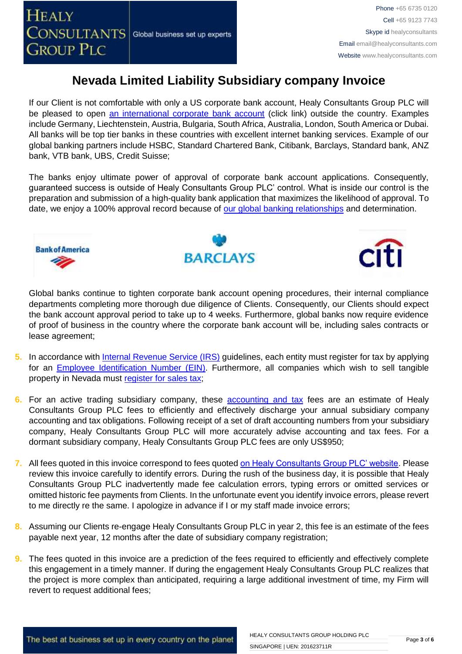If our Client is not comfortable with only a US corporate bank account, Healy Consultants Group PLC will be pleased to open [an international corporate bank account](http://www.healyconsultants.com/international-banking/) (click link) outside the country. Examples include Germany, Liechtenstein, Austria, Bulgaria, South Africa, Australia, London, South America or Dubai. All banks will be top tier banks in these countries with excellent internet banking services. Example of our global banking partners include HSBC, Standard Chartered Bank, Citibank, Barclays, Standard bank, ANZ bank, VTB bank, UBS, Credit Suisse;

The banks enjoy ultimate power of approval of corporate bank account applications. Consequently, guaranteed success is outside of Healy Consultants Group PLC' control. What is inside our control is the preparation and submission of a high-quality bank application that maximizes the likelihood of approval. To date, we enjoy a 100% approval record because of [our global banking relationships](http://www.healyconsultants.com/international-banking/corporate-accounts/) and determination.







Global banks continue to tighten corporate bank account opening procedures, their internal compliance departments completing more thorough due diligence of Clients. Consequently, our Clients should expect the bank account approval period to take up to 4 weeks. Furthermore, global banks now require evidence of proof of business in the country where the corporate bank account will be, including sales contracts or lease agreement;

- **5.** In accordance with *Internal Revenue Service (IRS)* guidelines, each entity must register for tax by applying for an [Employee Identification Number \(EIN\).](http://www.irs.gov/pub/irs-pdf/p1635.pdf) Furthermore, all companies which wish to sell tangible property in Nevada must [register for sales tax;](http://tax.nv.gov/FAQs/Sales_Tax_Information___FAQ_s/)
- **6.** For an active trading subsidiary company, these [accounting and tax](http://www.healyconsultants.com/usa-company-registration/accounting-legal/) fees are an estimate of Healy Consultants Group PLC fees to efficiently and effectively discharge your annual subsidiary company accounting and tax obligations. Following receipt of a set of draft accounting numbers from your subsidiary company, Healy Consultants Group PLC will more accurately advise accounting and tax fees. For a dormant subsidiary company, Healy Consultants Group PLC fees are only US\$950;
- **7.** All fees quoted in this invoice correspond to fees quote[d on Healy Consultants Group PLC' website.](http://www.healyconsultants.com/company-registration-fees/) Please review this invoice carefully to identify errors. During the rush of the business day, it is possible that Healy Consultants Group PLC inadvertently made fee calculation errors, typing errors or omitted services or omitted historic fee payments from Clients. In the unfortunate event you identify invoice errors, please revert to me directly re the same. I apologize in advance if I or my staff made invoice errors;
- **8.** Assuming our Clients re-engage Healy Consultants Group PLC in year 2, this fee is an estimate of the fees payable next year, 12 months after the date of subsidiary company registration;
- **9.** The fees quoted in this invoice are a prediction of the fees required to efficiently and effectively complete this engagement in a timely manner. If during the engagement Healy Consultants Group PLC realizes that the project is more complex than anticipated, requiring a large additional investment of time, my Firm will revert to request additional fees;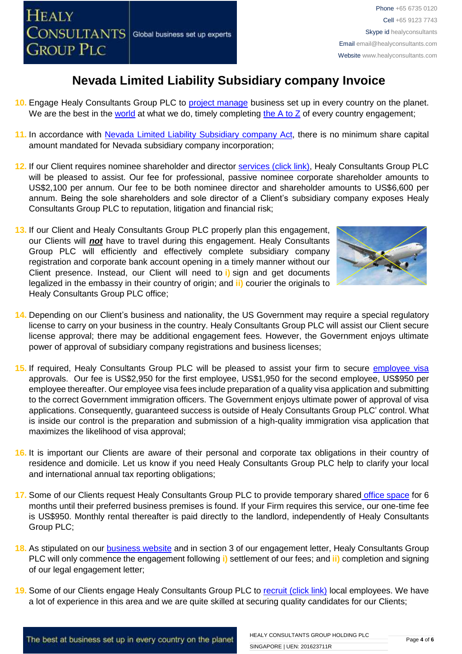- **10.** Engage Healy Consultants Group PLC to [project manage](http://www.healyconsultants.com/project-manage-engagements/) business set up in every country on the planet. We are the best in the [world](http://www.healyconsultants.com/best-in-the-world/) at what we do, timely completing the  $A$  to  $Z$  of every country engagement;
- **11.** In accordance with [Nevada Limited Liability Subsidiary company](http://www.leg.state.nv.us/NRS/NRS-086.html) Act, there is no minimum share capital amount mandated for Nevada subsidiary company incorporation;
- **12.** If our Client requires nominee shareholder and director [services \(click link\),](http://www.healyconsultants.com/corporate-outsourcing-services/nominee-shareholders-directors/) Healy Consultants Group PLC will be pleased to assist. Our fee for professional, passive nominee corporate shareholder amounts to US\$2,100 per annum. Our fee to be both nominee director and shareholder amounts to US\$6,600 per annum. Being the sole shareholders and sole director of a Client's subsidiary company exposes Healy Consultants Group PLC to reputation, litigation and financial risk;
- **13.** If our Client and Healy Consultants Group PLC properly plan this engagement, our Clients will *not* have to travel during this engagement. Healy Consultants Group PLC will efficiently and effectively complete subsidiary company registration and corporate bank account opening in a timely manner without our Client presence. Instead, our Client will need to **i)** sign and get documents legalized in the embassy in their country of origin; and **ii)** courier the originals to Healy Consultants Group PLC office;



- **14.** Depending on our Client's business and nationality, the US Government may require a special regulatory license to carry on your business in the country. Healy Consultants Group PLC will assist our Client secure license approval; there may be additional engagement fees. However, the Government enjoys ultimate power of approval of subsidiary company registrations and business licenses;
- **15.** If required, Healy Consultants Group PLC will be pleased to assist your firm to secure [employee visa](http://www.healyconsultants.com/usa-company-registration/formation-support-services/) approvals. Our fee is US\$2,950 for the first employee, US\$1,950 for the second employee, US\$950 per employee thereafter. Our employee visa fees include preparation of a quality visa application and submitting to the correct Government immigration officers. The Government enjoys ultimate power of approval of visa applications. Consequently, guaranteed success is outside of Healy Consultants Group PLC' control. What is inside our control is the preparation and submission of a high-quality immigration visa application that maximizes the likelihood of visa approval;
- **16.** It is important our Clients are aware of their personal and corporate tax obligations in their country of residence and domicile. Let us know if you need Healy Consultants Group PLC help to clarify your local and international annual tax reporting obligations;
- 17. Some of our Clients request Healy Consultants Group PLC to provide temporary shared [office space](http://www.healyconsultants.com/virtual-office/) for 6 months until their preferred business premises is found. If your Firm requires this service, our one-time fee is US\$950. Monthly rental thereafter is paid directly to the landlord, independently of Healy Consultants Group PLC;
- **18.** As stipulated on our [business website](http://www.healyconsultants.com/) and in section 3 of our engagement letter, Healy Consultants Group PLC will only commence the engagement following **i)** settlement of our fees; and **ii)** completion and signing of our legal engagement letter;
- **19.** Some of our Clients engage Healy Consultants Group PLC to [recruit \(click link\)](http://www.healyconsultants.com/corporate-outsourcing-services/how-we-help-our-clients-recruit-quality-employees/) local employees. We have a lot of experience in this area and we are quite skilled at securing quality candidates for our Clients;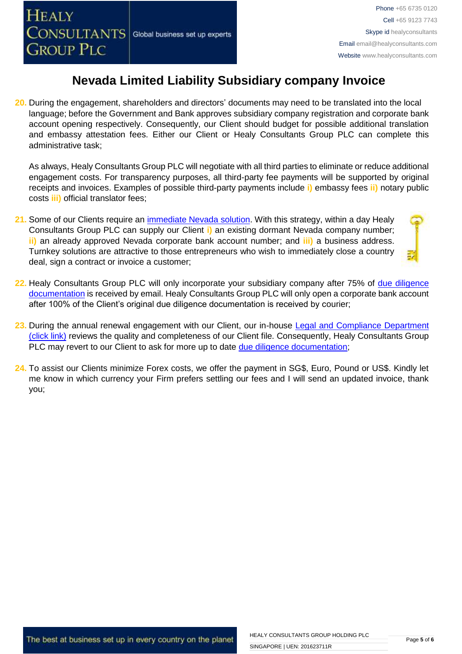**20.** During the engagement, shareholders and directors' documents may need to be translated into the local language; before the Government and Bank approves subsidiary company registration and corporate bank account opening respectively. Consequently, our Client should budget for possible additional translation and embassy attestation fees. Either our Client or Healy Consultants Group PLC can complete this administrative task;

As always, Healy Consultants Group PLC will negotiate with all third parties to eliminate or reduce additional engagement costs. For transparency purposes, all third-party fee payments will be supported by original receipts and invoices. Examples of possible third-party payments include **i)** embassy fees **ii)** notary public costs **iii)** official translator fees;

**21.** Some of our Clients require an [immediate Nevada](http://www.healyconsultants.com/turnkey-solutions/) solution. With this strategy, within a day Healy Consultants Group PLC can supply our Client **i)** an existing dormant Nevada company number; **ii)** an already approved Nevada corporate bank account number; and **iii)** a business address. Turnkey solutions are attractive to those entrepreneurs who wish to immediately close a country deal, sign a contract or invoice a customer;



- **22.** Healy Consultants Group PLC will only incorporate your subsidiary company after 75% of [due diligence](http://www.healyconsultants.com/due-diligence/)  [documentation](http://www.healyconsultants.com/due-diligence/) is received by email. Healy Consultants Group PLC will only open a corporate bank account after 100% of the Client's original due diligence documentation is received by courier;
- 23. During the annual renewal engagement with our Client, our in-house Legal and Compliance Department [\(click link\)](http://www.healyconsultants.com/about-us/key-personnel/cai-xin-profile/) reviews the quality and completeness of our Client file. Consequently, Healy Consultants Group PLC may revert to our Client to ask for more up to date [due diligence documentation;](http://www.healyconsultants.com/due-diligence/)
- **24.** To assist our Clients minimize Forex costs, we offer the payment in SG\$, Euro, Pound or US\$. Kindly let me know in which currency your Firm prefers settling our fees and I will send an updated invoice, thank you;